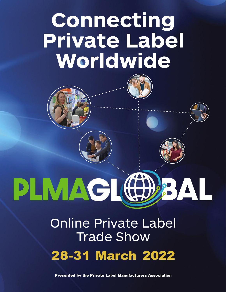# **Connecting Private Label Worldwide**





## PLMAG AL

## Online Private Label Trade Show 28-31 March 2022

Presented by the Private Label Manufacturers Association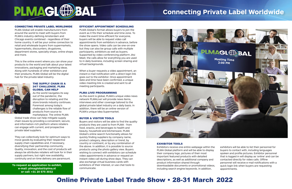#### EFFICIENT APPOINTMENT SCHEDULING

PLMA Global's format allows buyers to join the event as it fits their schedule and time zone. To make the event time-efficient for everyone, buyers will be able to request video call appointments from exhibitors in advance, before the show opens. Video calls can be one-on-one but they can also be group calls with multiple participants, exhibitors as well as buyers. Supported by video conferencing platform Jitsi Meet, the calls allow for everything you are used to in daily business, including screen sharing and virtual backgrounds.

When a buyer requests a video appointment, an instant e-mail notification with a direct login link goes out to the exhibitor. Once appointment date and time have been confirmed, a unique video meeting link is created and sent to all meeting participants.

#### PLMA LIVE! PROGRAMMING

As the event is global, PLMA's unique video news network PLMALive! will provide news items, interviews and other coverage tailored to the global private label industry on a daily basis. In addition, there will be an online version of PLMA's unique Idea Supermarket.

#### BUYER & VISITOR TOOLS

Buyers and visitors will be able to find the quality products they are used to from PLMA - from food, snacks, and beverages to health and beauty, household and kitchenware. PLMA Global's online search functionality allows for quickly finding suppliers by company name, product category, description or trend, by country or continent, or by any combination of the above. In addition, it is possible to source products using the photo gallery view. Buyers wishing to connect with exhibitors can schedule video appointments in advance or request an instant video call during show days. They can also exchange virtual business cards with exhibitors of their interest, or use chat tools to communicate.



exhibitors will be able to list their personnel for buyers to contact with, including languages spoken and profile pictures. Exhibitor personnel that is logged in will display as 'online' and can be contacted directly for video calls. Offline personnel will receive e-mail notifications with a quick login link when buyers are requesting appointments.



#### CONNECTING PRIVATE LABEL WORLDWIDE

PLMA Global will enable manufacturers from around the world to meet with buyers from PLMA's industry-defining Amsterdam and Chicago events combined - regardless of their home country. It will be your online connection to retail and wholesale buyers from supermarkets, hypermarkets, discounters, drugstores, department stores, specialty shops, online shops and more.

This is the online event where you can show your products to the world and talk about your latest innovations, packaging and marketing ideas. Along with hundreds of other exhibitors and their products, PLMA Global will be the digital hub for the private label industry.



#### THE SUPPLY CHAIN IS A 24/7 CHALLENGE. PLMA GLOBAL CAN HELP

As the world navigates its way out of the pandemic, the disruption to retailing and the store brands industry continues. Foremost among today's challenges is the reliable flow of products from source to marketplace. The online PLMA

Global trade show can help mitigate supply chain issues by providing a convenient, secure, and information-rich platform where retailers can engage with current, and prospective private label suppliers.

They can collectively look for optimum ways to move goods by evaluating their respective supply chain capabilities and, if necessary, diversifying their partnership community. Quality, innovation, and the cost of products will always be attributes retailers will look for in their supply partners, but right now availability, continuity and on-time delivery are paramount.

#### EXHIBITOR TOOLS

Exhibitors receive one entire webpage within the PLMA Global platform and will be able to display their company logo, pictures of their most important featured products with detailed descriptions, as well as additional company and product information shared through downloadable documents or promotional videos, including search engine keywords. In addition,



# **Connecting Private Label Worldwide**

### Online Private Label Trade Show • 28-31 March 2022

**To request an application to exhibit, e-mail: plmaglobal@plma.nl or call: +31 20 575 3032**